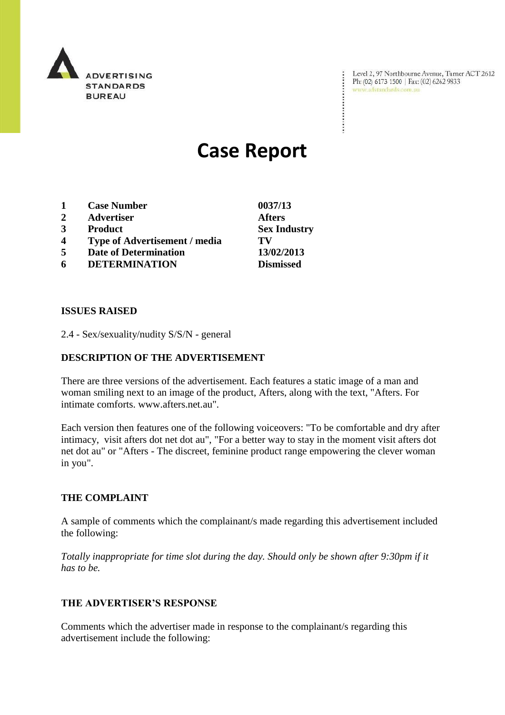

Level 2, 97 Northbourne Avenue, Turner ACT 2612<br>Ph: (02) 6173 1500 | Fax: (02) 6262 9833<br>www.adstandards.com.au

# **Case Report**

| 1                       | <b>Case Number</b>                   | 0037/13             |
|-------------------------|--------------------------------------|---------------------|
| $\mathbf{2}$            | <b>Advertiser</b>                    | <b>Afters</b>       |
| 3                       | <b>Product</b>                       | <b>Sex Industry</b> |
| $\overline{\mathbf{4}}$ | <b>Type of Advertisement / media</b> | TV                  |
| 5                       | <b>Date of Determination</b>         | 13/02/2013          |
| 6                       | <b>DETERMINATION</b>                 | <b>Dismissed</b>    |

### **ISSUES RAISED**

2.4 - Sex/sexuality/nudity S/S/N - general

## **DESCRIPTION OF THE ADVERTISEMENT**

There are three versions of the advertisement. Each features a static image of a man and woman smiling next to an image of the product, Afters, along with the text, "Afters. For intimate comforts. www.afters.net.au".

Each version then features one of the following voiceovers: "To be comfortable and dry after intimacy, visit afters dot net dot au", "For a better way to stay in the moment visit afters dot net dot au" or "Afters - The discreet, feminine product range empowering the clever woman in you".

# **THE COMPLAINT**

A sample of comments which the complainant/s made regarding this advertisement included the following:

*Totally inappropriate for time slot during the day. Should only be shown after 9:30pm if it has to be.*

### **THE ADVERTISER'S RESPONSE**

Comments which the advertiser made in response to the complainant/s regarding this advertisement include the following: